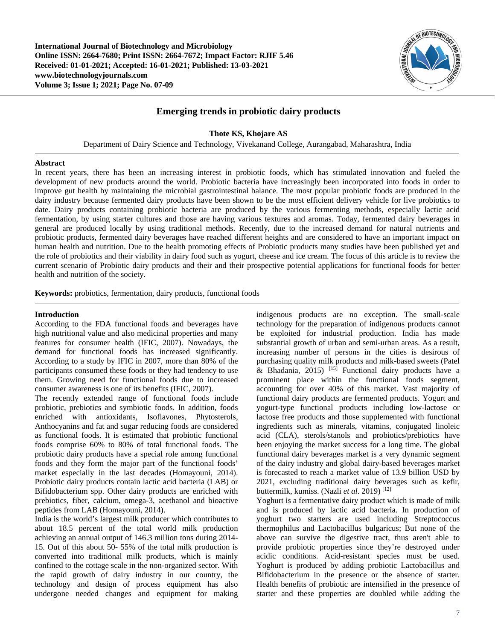**International Journal of Biotechnology and Microbiology Online ISSN: 2664-7680; Print ISSN: 2664-7672; Impact Factor: RJIF 5.46 Received: 01-01-2021; Accepted: 16-01-2021; Published: 13-03-2021 www.biotechnologyjournals.com Volume 3; Issue 1; 2021; Page No. 07-09**



# **Emerging trends in probiotic dairy products**

### **Thote KS, Khojare AS**

Department of Dairy Science and Technology, Vivekanand College, Aurangabad, Maharashtra, India

#### **Abstract**

In recent years, there has been an increasing interest in probiotic foods, which has stimulated innovation and fueled the development of new products around the world. Probiotic bacteria have increasingly been incorporated into foods in order to improve gut health by maintaining the microbial gastrointestinal balance. The most popular probiotic foods are produced in the dairy industry because fermented dairy products have been shown to be the most efficient delivery vehicle for live probiotics to date. Dairy products containing probiotic bacteria are produced by the various fermenting methods, especially lactic acid fermentation, by using starter cultures and those are having various textures and aromas. Today, fermented dairy beverages in general are produced locally by using traditional methods. Recently, due to the increased demand for natural nutrients and probiotic products, fermented dairy beverages have reached different heights and are considered to have an important impact on human health and nutrition. Due to the health promoting effects of Probiotic products many studies have been published yet and the role of probiotics and their viability in dairy food such as yogurt, cheese and ice cream. The focus of this article is to review the current scenario of Probiotic dairy products and their and their prospective potential applications for functional foods for better health and nutrition of the society.

**Keywords:** probiotics, fermentation, dairy products, functional foods

#### **Introduction**

According to the FDA functional foods and beverages have high nutritional value and also medicinal properties and many features for consumer health (IFIC, 2007). Nowadays, the demand for functional foods has increased significantly. According to a study by IFIC in 2007, more than 80% of the participants consumed these foods or they had tendency to use them. Growing need for functional foods due to increased consumer awareness is one of its benefits (IFIC, 2007).

The recently extended range of functional foods include probiotic, prebiotics and symbiotic foods. In addition, foods enriched with antioxidants, Isoflavones, Phytosterols, Anthocyanins and fat and sugar reducing foods are considered as functional foods. It is estimated that probiotic functional foods comprise 60% to 80% of total functional foods. The probiotic dairy products have a special role among functional foods and they form the major part of the functional foods' market especially in the last decades (Homayouni, 2014). Probiotic dairy products contain lactic acid bacteria (LAB) or Bifidobacterium spp. Other dairy products are enriched with prebiotics, fiber, calcium, omega-3, acethanol and bioactive peptides from LAB (Homayouni, 2014).

India is the world's largest milk producer which contributes to about 18.5 percent of the total world milk production achieving an annual output of 146.3 million tons during 2014- 15. Out of this about 50- 55% of the total milk production is converted into traditional milk products, which is mainly confined to the cottage scale in the non-organized sector. With the rapid growth of dairy industry in our country, the technology and design of process equipment has also undergone needed changes and equipment for making indigenous products are no exception. The small-scale technology for the preparation of indigenous products cannot be exploited for industrial production. India has made substantial growth of urban and semi-urban areas. As a result, increasing number of persons in the cities is desirous of purchasing quality milk products and milk-based sweets (Patel  $\&$  Bhadania, 2015)<sup>[15]</sup> Functional dairy products have a prominent place within the functional foods segment, accounting for over 40% of this market. Vast majority of functional dairy products are fermented products. Yogurt and yogurt-type functional products including low-lactose or lactose free products and those supplemented with functional ingredients such as minerals, vitamins, conjugated linoleic acid (CLA), sterols/stanols and probiotics/prebiotics have been enjoying the market success for a long time. The global functional dairy beverages market is a very dynamic segment of the dairy industry and global dairy-based beverages market is forecasted to reach a market value of 13.9 billion USD by 2021, excluding traditional dairy beverages such as kefir, buttermilk, kumiss. (Nazli *et al*. 2019) [12]

Yoghurt is a fermentative dairy product which is made of milk and is produced by lactic acid bacteria. In production of yoghurt two starters are used including Streptococcus thermophilus and Lactobacillus bulgaricus; But none of the above can survive the digestive tract, thus aren't able to provide probiotic properties since they're destroyed under acidic conditions. Acid-resistant species must be used. Yoghurt is produced by adding probiotic Lactobacillus and Bifidobacterium in the presence or the absence of starter. Health benefits of probiotic are intensified in the presence of starter and these properties are doubled while adding the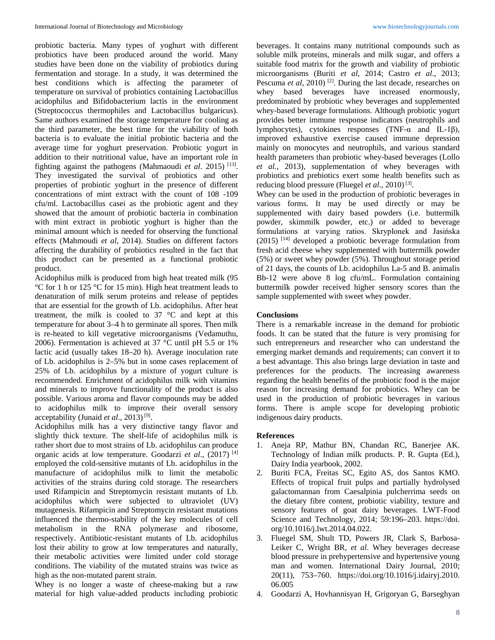probiotic bacteria. Many types of yoghurt with different probiotics have been produced around the world. Many studies have been done on the viability of probiotics during fermentation and storage. In a study, it was determined the best conditions which is affecting the parameter of temperature on survival of probiotics containing Lactobacillus acidophilus and Bifidobacterium lactis in the environment (Streptococcus thermophiles and Lactobacillus bulgaricus). Same authors examined the storage temperature for cooling as the third parameter, the best time for the viability of both bacteria is to evaluate the initial probiotic bacteria and the average time for yoghurt preservation. Probiotic yogurt in addition to their nutritional value, have an important role in fighting against the pathogens (Mahmaoudi *et al*. 2015) [13] . They investigated the survival of probiotics and other properties of probiotic yoghurt in the presence of different concentrations of mint extract with the count of 108 -109 cfu/ml. Lactobacillus casei as the probiotic agent and they showed that the amount of probiotic bacteria in combination with mint extract in probiotic yoghurt is higher than the minimal amount which is needed for observing the functional effects (Mahmoudi *et al*, 2014). Studies on different factors affecting the durability of probiotics resulted in the fact that this product can be presented as a functional probiotic product.

Acidophilus milk is produced from high heat treated milk (95 °C for 1 h or 125 °C for 15 min). High heat treatment leads to denaturation of milk serum proteins and release of peptides that are essential for the growth of Lb. acidophilus. After heat treatment, the milk is cooled to 37 °C and kept at this temperature for about 3–4 h to germinate all spores. Then milk is re-heated to kill vegetative microorganisms (Vedamuthu, 2006). Fermentation is achieved at 37 °C until pH 5.5 or 1% lactic acid (usually takes 18–20 h). Average inoculation rate of Lb. acidophilus is 2–5% but in some cases replacement of 25% of Lb. acidophilus by a mixture of yogurt culture is recommended. Enrichment of acidophilus milk with vitamins and minerals to improve functionality of the product is also possible. Various aroma and flavor compounds may be added to acidophilus milk to improve their overall sensory acceptability (Junaid *et al.*, 2013)<sup>[9]</sup>.

Acidophilus milk has a very distinctive tangy flavor and slightly thick texture. The shelf-life of acidophilus milk is rather short due to most strains of Lb. acidophilus can produce organic acids at low temperature. Goodarzi *et al*., (2017) [4] employed the cold-sensitive mutants of Lb. acidophilus in the manufacture of acidophilus milk to limit the metabolic activities of the strains during cold storage. The researchers used Rifampicin and Streptomycin resistant mutants of Lb. acidophilus which were subjected to ultraviolet (UV) mutagenesis. Rifampicin and Streptomycin resistant mutations influenced the thermo-stability of the key molecules of cell metabolism in the RNA polymerase and ribosome, respectively. Antibiotic-resistant mutants of Lb. acidophilus lost their ability to grow at low temperatures and naturally, their metabolic activities were limited under cold storage conditions. The viability of the mutated strains was twice as high as the non-mutated parent strain.

Whey is no longer a waste of cheese-making but a raw material for high value-added products including probiotic beverages. It contains many nutritional compounds such as soluble milk proteins, minerals and milk sugar, and offers a suitable food matrix for the growth and viability of probiotic microorganisms (Buriti *et al*, 2014; Castro *et al*., 2013; Pescuma *et al*, 2010)<sup>[2]</sup>. During the last decade, researches on whey based beverages have increased enormously, predominated by probiotic whey beverages and supplemented whey-based beverage formulations. Although probiotic yogurt provides better immune response indicators (neutrophils and lymphocytes), cytokines responses (TNF-α and IL-1β), improved exhaustive exercise caused immune depression mainly on monocytes and neutrophils, and various standard health parameters than probiotic whey-based beverages (Lollo *et al.*, 2013), supplementation of whey beverages with probiotics and prebiotics exert some health benefits such as reducing blood pressure (Fluegel et al., 2010)<sup>[3]</sup>.

Whey can be used in the production of probiotic beverages in various forms. It may be used directly or may be supplemented with dairy based powders (i.e. buttermilk powder, skimmilk powder, etc.) or added to beverage formulations at varying ratios. Skryplonek and Jasińska (2015) [14] developed a probiotic beverage formulation from fresh acid cheese whey supplemented with buttermilk powder (5%) or sweet whey powder (5%). Throughout storage period of 21 days, the counts of Lb. acidophilus La-5 and B. animalis Bb-12 were above 8 log cfu/mL. Formulation containing buttermilk powder received higher sensory scores than the sample supplemented with sweet whey powder.

### **Conclusions**

There is a remarkable increase in the demand for probiotic foods. It can be stated that the future is very promising for such entrepreneurs and researcher who can understand the emerging market demands and requirements; can convert it to a best advantage. This also brings large deviation in taste and preferences for the products. The increasing awareness regarding the health benefits of the probiotic food is the major reason for increasing demand for probiotics. Whey can be used in the production of probiotic beverages in various forms. There is ample scope for developing probiotic indigenous dairy products.

## **References**

- 1. Aneja RP, Mathur BN, Chandan RC, Banerjee AK. Technology of Indian milk products. P. R. Gupta (Ed.), Dairy India yearbook, 2002.
- 2. Buriti FCA, Freitas SC, Egito AS, dos Santos KMO. Effects of tropical fruit pulps and partially hydrolysed galactomannan from Caesalpinia pulcherrima seeds on the dietary fibre content, probiotic viability, texture and sensory features of goat dairy beverages. LWT-Food Science and Technology, 2014; 59:196–203. https://doi. org/10.1016/j.lwt.2014.04.022.
- 3. Fluegel SM, Shult TD, Powers JR, Clark S, Barbosa-Leiker C, Wright BR, *et al*. Whey beverages decrease blood pressure in prehypertensive and hypertensive young man and women. International Dairy Journal, 2010; 20(11), 753–760. https://doi.org/10.1016/j.idairyj.2010. 06.005
- 4. Goodarzi A, Hovhannisyan H, Grigoryan G, Barseghyan